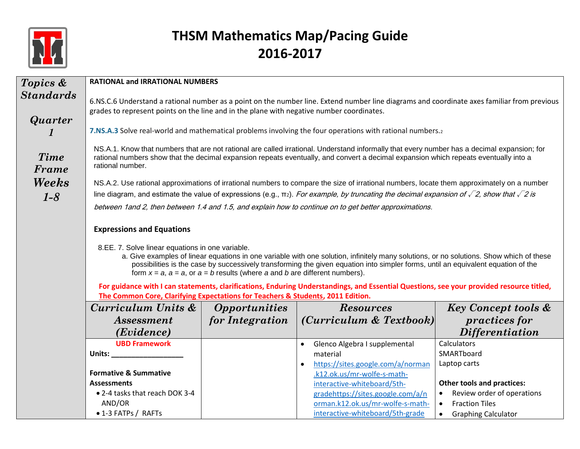

| <b>Topics &amp;</b> | <b>RATIONAL and IRRATIONAL NUMBERS</b>                                                                                                                                                                                                                                                                                                                                                                                 |                             |                                                                                                                                                                                                                                                                                                            |                                         |  |
|---------------------|------------------------------------------------------------------------------------------------------------------------------------------------------------------------------------------------------------------------------------------------------------------------------------------------------------------------------------------------------------------------------------------------------------------------|-----------------------------|------------------------------------------------------------------------------------------------------------------------------------------------------------------------------------------------------------------------------------------------------------------------------------------------------------|-----------------------------------------|--|
| <b>Standards</b>    | 6.NS.C.6 Understand a rational number as a point on the number line. Extend number line diagrams and coordinate axes familiar from previous                                                                                                                                                                                                                                                                            |                             |                                                                                                                                                                                                                                                                                                            |                                         |  |
|                     | grades to represent points on the line and in the plane with negative number coordinates.                                                                                                                                                                                                                                                                                                                              |                             |                                                                                                                                                                                                                                                                                                            |                                         |  |
| Quarter             |                                                                                                                                                                                                                                                                                                                                                                                                                        |                             | 7.NS.A.3 Solve real-world and mathematical problems involving the four operations with rational numbers.2                                                                                                                                                                                                  |                                         |  |
| Time<br>Frame       | NS.A.1. Know that numbers that are not rational are called irrational. Understand informally that every number has a decimal expansion; for<br>rational numbers show that the decimal expansion repeats eventually, and convert a decimal expansion which repeats eventually into a<br>rational number.                                                                                                                |                             |                                                                                                                                                                                                                                                                                                            |                                         |  |
| Weeks               |                                                                                                                                                                                                                                                                                                                                                                                                                        |                             | NS.A.2. Use rational approximations of irrational numbers to compare the size of irrational numbers, locate them approximately on a number<br>line diagram, and estimate the value of expressions (e.g., $\pi$ ). For example, by truncating the decimal expansion of $\sqrt{2}$ , show that $\sqrt{2}$ is |                                         |  |
| $1-8$               |                                                                                                                                                                                                                                                                                                                                                                                                                        |                             | between 1 and 2, then between 1.4 and 1.5, and explain how to continue on to get better approximations.                                                                                                                                                                                                    |                                         |  |
|                     |                                                                                                                                                                                                                                                                                                                                                                                                                        |                             |                                                                                                                                                                                                                                                                                                            |                                         |  |
|                     | <b>Expressions and Equations</b>                                                                                                                                                                                                                                                                                                                                                                                       |                             |                                                                                                                                                                                                                                                                                                            |                                         |  |
|                     | 8.EE. 7. Solve linear equations in one variable.<br>a. Give examples of linear equations in one variable with one solution, infinitely many solutions, or no solutions. Show which of these<br>possibilities is the case by successively transforming the given equation into simpler forms, until an equivalent equation of the<br>form $x = a$ , $a = a$ , or $a = b$ results (where a and b are different numbers). |                             |                                                                                                                                                                                                                                                                                                            |                                         |  |
|                     | For guidance with I can statements, clarifications, Enduring Understandings, and Essential Questions, see your provided resource titled,<br>The Common Core, Clarifying Expectations for Teachers & Students, 2011 Edition.                                                                                                                                                                                            |                             |                                                                                                                                                                                                                                                                                                            |                                         |  |
|                     | Curriculum Units &                                                                                                                                                                                                                                                                                                                                                                                                     | <i><b>Opportunities</b></i> | <b>Resources</b>                                                                                                                                                                                                                                                                                           | <b>Key Concept tools &amp;</b>          |  |
|                     | <i>Assessment</i>                                                                                                                                                                                                                                                                                                                                                                                                      | for Integration             | (Curriculum & Textbook)                                                                                                                                                                                                                                                                                    | <i>practices for</i>                    |  |
|                     | (Evidence)                                                                                                                                                                                                                                                                                                                                                                                                             |                             |                                                                                                                                                                                                                                                                                                            | <b>Differentiation</b>                  |  |
|                     | <b>UBD Framework</b>                                                                                                                                                                                                                                                                                                                                                                                                   |                             | Glenco Algebra I supplemental                                                                                                                                                                                                                                                                              | Calculators                             |  |
|                     | Units: <u>www.community.community.community</u>                                                                                                                                                                                                                                                                                                                                                                        |                             | material                                                                                                                                                                                                                                                                                                   | SMARTboard                              |  |
|                     |                                                                                                                                                                                                                                                                                                                                                                                                                        |                             | https://sites.google.com/a/norman                                                                                                                                                                                                                                                                          | Laptop carts                            |  |
|                     | <b>Formative &amp; Summative</b><br><b>Assessments</b>                                                                                                                                                                                                                                                                                                                                                                 |                             | .k12.ok.us/mr-wolfe-s-math-<br>interactive-whiteboard/5th-                                                                                                                                                                                                                                                 | <b>Other tools and practices:</b>       |  |
|                     | • 2-4 tasks that reach DOK 3-4                                                                                                                                                                                                                                                                                                                                                                                         |                             | gradehttps://sites.google.com/a/n                                                                                                                                                                                                                                                                          | Review order of operations              |  |
|                     | AND/OR                                                                                                                                                                                                                                                                                                                                                                                                                 |                             | orman.k12.ok.us/mr-wolfe-s-math-                                                                                                                                                                                                                                                                           | <b>Fraction Tiles</b><br>$\bullet$      |  |
|                     | • 1-3 FATPs / RAFTs                                                                                                                                                                                                                                                                                                                                                                                                    |                             | interactive-whiteboard/5th-grade                                                                                                                                                                                                                                                                           | <b>Graphing Calculator</b><br>$\bullet$ |  |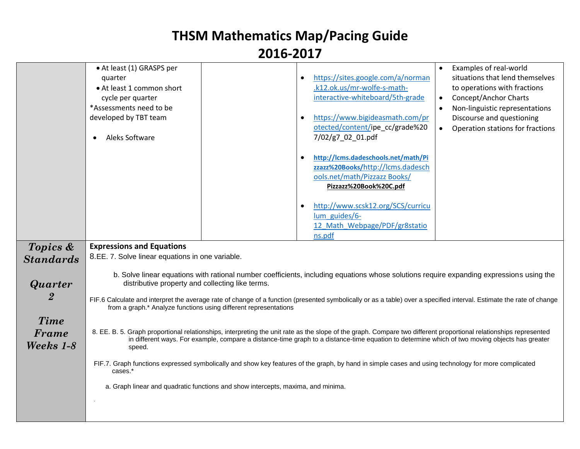|                                   | • At least (1) GRASPS per<br>quarter<br>• At least 1 common short<br>cycle per quarter<br>*Assessments need to be<br>developed by TBT team<br>Aleks Software |                                                                                  | https://sites.google.com/a/norman<br>$\bullet$<br>.k12.ok.us/mr-wolfe-s-math-<br>interactive-whiteboard/5th-grade<br>https://www.bigideasmath.com/pr<br>$\bullet$<br>otected/content/ipe_cc/grade%20<br>7/02/g7_02_01.pdf<br>http://lcms.dadeschools.net/math/Pi<br>$\bullet$<br>zzazz%20Books/http://lcms.dadesch<br>ools.net/math/Pizzazz Books/<br>Pizzazz%20Book%20C.pdf<br>http://www.scsk12.org/SCS/curricu<br>$\bullet$<br>lum guides/6-<br>12 Math Webpage/PDF/gr8statio<br>ns.pdf | Examples of real-world<br>situations that lend themselves<br>to operations with fractions<br><b>Concept/Anchor Charts</b><br>$\bullet$<br>Non-linguistic representations<br>$\bullet$<br>Discourse and questioning<br>Operation stations for fractions<br>$\bullet$ |
|-----------------------------------|--------------------------------------------------------------------------------------------------------------------------------------------------------------|----------------------------------------------------------------------------------|--------------------------------------------------------------------------------------------------------------------------------------------------------------------------------------------------------------------------------------------------------------------------------------------------------------------------------------------------------------------------------------------------------------------------------------------------------------------------------------------|---------------------------------------------------------------------------------------------------------------------------------------------------------------------------------------------------------------------------------------------------------------------|
| Topics &                          | <b>Expressions and Equations</b><br>8.EE. 7. Solve linear equations in one variable.                                                                         |                                                                                  |                                                                                                                                                                                                                                                                                                                                                                                                                                                                                            |                                                                                                                                                                                                                                                                     |
| <b>Standards</b><br>Quarter       | distributive property and collecting like terms.                                                                                                             | from a graph.* Analyze functions using different representations                 | b. Solve linear equations with rational number coefficients, including equations whose solutions require expanding expressions using the<br>FIF.6 Calculate and interpret the average rate of change of a function (presented symbolically or as a table) over a specified interval. Estimate the rate of change                                                                                                                                                                           |                                                                                                                                                                                                                                                                     |
| <b>Time</b><br>Frame<br>Weeks 1-8 | speed.                                                                                                                                                       |                                                                                  | 8. EE. B. 5. Graph proportional relationships, interpreting the unit rate as the slope of the graph. Compare two different proportional relationships represented<br>in different ways. For example, compare a distance-time graph to a distance-time equation to determine which of two moving objects has greater                                                                                                                                                                        |                                                                                                                                                                                                                                                                     |
|                                   | cases.*                                                                                                                                                      | a. Graph linear and quadratic functions and show intercepts, maxima, and minima. | FIF.7. Graph functions expressed symbolically and show key features of the graph, by hand in simple cases and using technology for more complicated                                                                                                                                                                                                                                                                                                                                        |                                                                                                                                                                                                                                                                     |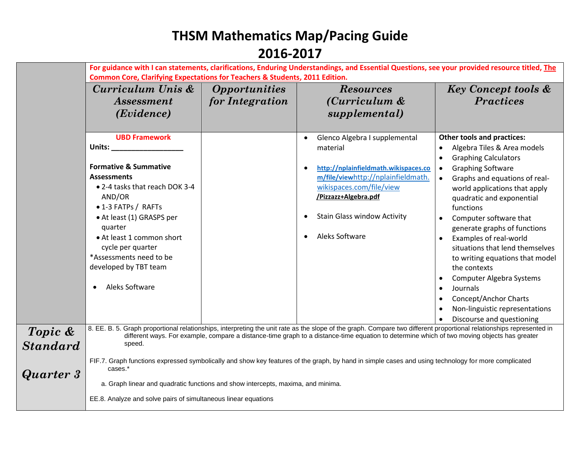|                 | For guidance with I can statements, clarifications, Enduring Understandings, and Essential Questions, see your provided resource titled, The                                                                                                                                                                        |                             |                                                                                                                                                     |                                            |  |
|-----------------|---------------------------------------------------------------------------------------------------------------------------------------------------------------------------------------------------------------------------------------------------------------------------------------------------------------------|-----------------------------|-----------------------------------------------------------------------------------------------------------------------------------------------------|--------------------------------------------|--|
|                 | <b>Common Core, Clarifying Expectations for Teachers &amp; Students, 2011 Edition.</b>                                                                                                                                                                                                                              |                             |                                                                                                                                                     |                                            |  |
|                 | Curriculum Unis &                                                                                                                                                                                                                                                                                                   | <i><b>Opportunities</b></i> | <b>Resources</b>                                                                                                                                    | <b>Key Concept tools &amp;</b>             |  |
|                 | <i>Assessment</i>                                                                                                                                                                                                                                                                                                   | for Integration             | (Curriculum &                                                                                                                                       | <b>Practices</b>                           |  |
|                 | ( <i>Evidence</i> )                                                                                                                                                                                                                                                                                                 |                             | supplemental)                                                                                                                                       |                                            |  |
|                 |                                                                                                                                                                                                                                                                                                                     |                             |                                                                                                                                                     |                                            |  |
|                 | <b>UBD Framework</b>                                                                                                                                                                                                                                                                                                |                             | Glenco Algebra I supplemental                                                                                                                       | <b>Other tools and practices:</b>          |  |
|                 | Units:                                                                                                                                                                                                                                                                                                              |                             | material                                                                                                                                            | Algebra Tiles & Area models                |  |
|                 |                                                                                                                                                                                                                                                                                                                     |                             |                                                                                                                                                     | <b>Graphing Calculators</b><br>$\bullet$   |  |
|                 | <b>Formative &amp; Summative</b>                                                                                                                                                                                                                                                                                    |                             | http://nplainfieldmath.wikispaces.co                                                                                                                | <b>Graphing Software</b><br>$\bullet$      |  |
|                 | <b>Assessments</b><br>• 2-4 tasks that reach DOK 3-4                                                                                                                                                                                                                                                                |                             | m/file/viewhttp://nplainfieldmath.                                                                                                                  | Graphs and equations of real-<br>$\bullet$ |  |
|                 | AND/OR                                                                                                                                                                                                                                                                                                              |                             | wikispaces.com/file/view<br>/Pizzazz+Algebra.pdf                                                                                                    | world applications that apply              |  |
|                 | • 1-3 FATPs / RAFTs                                                                                                                                                                                                                                                                                                 |                             |                                                                                                                                                     | quadratic and exponential<br>functions     |  |
|                 | • At least (1) GRASPS per                                                                                                                                                                                                                                                                                           |                             | <b>Stain Glass window Activity</b>                                                                                                                  | Computer software that<br>$\bullet$        |  |
|                 | quarter                                                                                                                                                                                                                                                                                                             |                             |                                                                                                                                                     | generate graphs of functions               |  |
|                 | • At least 1 common short                                                                                                                                                                                                                                                                                           |                             | Aleks Software                                                                                                                                      | Examples of real-world                     |  |
|                 | cycle per quarter                                                                                                                                                                                                                                                                                                   |                             |                                                                                                                                                     | situations that lend themselves            |  |
|                 | *Assessments need to be                                                                                                                                                                                                                                                                                             |                             |                                                                                                                                                     | to writing equations that model            |  |
|                 | developed by TBT team                                                                                                                                                                                                                                                                                               |                             |                                                                                                                                                     | the contexts                               |  |
|                 |                                                                                                                                                                                                                                                                                                                     |                             |                                                                                                                                                     | <b>Computer Algebra Systems</b>            |  |
|                 | Aleks Software<br>$\bullet$                                                                                                                                                                                                                                                                                         |                             |                                                                                                                                                     | Journals                                   |  |
|                 |                                                                                                                                                                                                                                                                                                                     |                             |                                                                                                                                                     | Concept/Anchor Charts                      |  |
|                 |                                                                                                                                                                                                                                                                                                                     |                             |                                                                                                                                                     | Non-linguistic representations             |  |
|                 |                                                                                                                                                                                                                                                                                                                     |                             |                                                                                                                                                     | Discourse and questioning                  |  |
| Topic &         | 8. EE. B. 5. Graph proportional relationships, interpreting the unit rate as the slope of the graph. Compare two different proportional relationships represented in<br>different ways. For example, compare a distance-time graph to a distance-time equation to determine which of two moving objects has greater |                             |                                                                                                                                                     |                                            |  |
| <b>Standard</b> | speed.                                                                                                                                                                                                                                                                                                              |                             |                                                                                                                                                     |                                            |  |
|                 |                                                                                                                                                                                                                                                                                                                     |                             |                                                                                                                                                     |                                            |  |
|                 | cases.*                                                                                                                                                                                                                                                                                                             |                             | FIF.7. Graph functions expressed symbolically and show key features of the graph, by hand in simple cases and using technology for more complicated |                                            |  |
| Quarter 3       |                                                                                                                                                                                                                                                                                                                     |                             |                                                                                                                                                     |                                            |  |
|                 | a. Graph linear and quadratic functions and show intercepts, maxima, and minima.                                                                                                                                                                                                                                    |                             |                                                                                                                                                     |                                            |  |
|                 | EE.8. Analyze and solve pairs of simultaneous linear equations                                                                                                                                                                                                                                                      |                             |                                                                                                                                                     |                                            |  |
|                 |                                                                                                                                                                                                                                                                                                                     |                             |                                                                                                                                                     |                                            |  |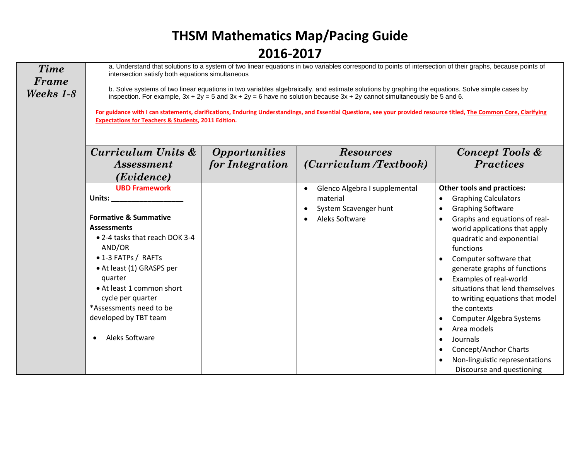| <b>Time</b><br>Frame<br>Weeks 1-8 | a. Understand that solutions to a system of two linear equations in two variables correspond to points of intersection of their graphs, because points of<br>intersection satisfy both equations simultaneous<br>b. Solve systems of two linear equations in two variables algebraically, and estimate solutions by graphing the equations. Solve simple cases by<br>inspection. For example, $3x + 2y = 5$ and $3x + 2y = 6$ have no solution because $3x + 2y$ cannot simultaneously be 5 and 6.<br>For guidance with I can statements, clarifications, Enduring Understandings, and Essential Questions, see your provided resource titled, The Common Core, Clarifying<br><b>Expectations for Teachers &amp; Students, 2011 Edition.</b> |                      |                               |                                                                                                                                                                                                                                                                                                                                                         |  |
|-----------------------------------|----------------------------------------------------------------------------------------------------------------------------------------------------------------------------------------------------------------------------------------------------------------------------------------------------------------------------------------------------------------------------------------------------------------------------------------------------------------------------------------------------------------------------------------------------------------------------------------------------------------------------------------------------------------------------------------------------------------------------------------------|----------------------|-------------------------------|---------------------------------------------------------------------------------------------------------------------------------------------------------------------------------------------------------------------------------------------------------------------------------------------------------------------------------------------------------|--|
|                                   | Curriculum Units &                                                                                                                                                                                                                                                                                                                                                                                                                                                                                                                                                                                                                                                                                                                           | <b>Opportunities</b> | <b>Resources</b>              | Concept Tools &                                                                                                                                                                                                                                                                                                                                         |  |
|                                   | <i>Assessment</i>                                                                                                                                                                                                                                                                                                                                                                                                                                                                                                                                                                                                                                                                                                                            | for Integration      | (Curriculum /Textbook)        | <b>Practices</b>                                                                                                                                                                                                                                                                                                                                        |  |
|                                   | (Evidence)                                                                                                                                                                                                                                                                                                                                                                                                                                                                                                                                                                                                                                                                                                                                   |                      |                               |                                                                                                                                                                                                                                                                                                                                                         |  |
|                                   | <b>UBD Framework</b>                                                                                                                                                                                                                                                                                                                                                                                                                                                                                                                                                                                                                                                                                                                         |                      | Glenco Algebra I supplemental | <b>Other tools and practices:</b>                                                                                                                                                                                                                                                                                                                       |  |
|                                   | Units:                                                                                                                                                                                                                                                                                                                                                                                                                                                                                                                                                                                                                                                                                                                                       |                      | material                      | <b>Graphing Calculators</b><br>$\bullet$                                                                                                                                                                                                                                                                                                                |  |
|                                   |                                                                                                                                                                                                                                                                                                                                                                                                                                                                                                                                                                                                                                                                                                                                              |                      | System Scavenger hunt         | <b>Graphing Software</b>                                                                                                                                                                                                                                                                                                                                |  |
|                                   | <b>Formative &amp; Summative</b><br><b>Assessments</b><br>• 2-4 tasks that reach DOK 3-4<br>AND/OR<br>• 1-3 FATPs / RAFTs<br>• At least (1) GRASPS per<br>quarter<br>• At least 1 common short<br>cycle per quarter<br>*Assessments need to be<br>developed by TBT team<br>Aleks Software                                                                                                                                                                                                                                                                                                                                                                                                                                                    |                      | Aleks Software                | Graphs and equations of real-<br>$\bullet$<br>world applications that apply<br>quadratic and exponential<br>functions<br>Computer software that<br>generate graphs of functions<br>Examples of real-world<br>situations that lend themselves<br>to writing equations that model<br>the contexts<br>Computer Algebra Systems<br>Area models<br>$\bullet$ |  |
|                                   |                                                                                                                                                                                                                                                                                                                                                                                                                                                                                                                                                                                                                                                                                                                                              |                      |                               | Journals<br>$\bullet$<br>Concept/Anchor Charts<br>$\bullet$<br>Non-linguistic representations<br>Discourse and questioning                                                                                                                                                                                                                              |  |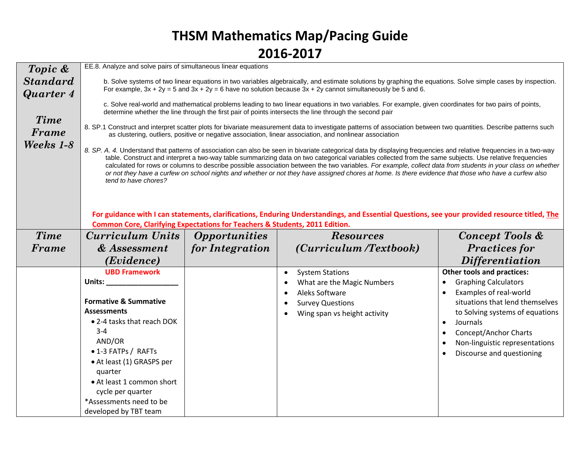| Topic &         | EE.8. Analyze and solve pairs of simultaneous linear equations                                                                                               |                             |                                                                                                                                                                                                                                                                                                                                |                                   |  |
|-----------------|--------------------------------------------------------------------------------------------------------------------------------------------------------------|-----------------------------|--------------------------------------------------------------------------------------------------------------------------------------------------------------------------------------------------------------------------------------------------------------------------------------------------------------------------------|-----------------------------------|--|
| <b>Standard</b> | b. Solve systems of two linear equations in two variables algebraically, and estimate solutions by graphing the equations. Solve simple cases by inspection. |                             |                                                                                                                                                                                                                                                                                                                                |                                   |  |
| Quarter 4       | For example, $3x + 2y = 5$ and $3x + 2y = 6$ have no solution because $3x + 2y$ cannot simultaneously be 5 and 6.                                            |                             |                                                                                                                                                                                                                                                                                                                                |                                   |  |
|                 |                                                                                                                                                              |                             | c. Solve real-world and mathematical problems leading to two linear equations in two variables. For example, given coordinates for two pairs of points,                                                                                                                                                                        |                                   |  |
|                 |                                                                                                                                                              |                             | determine whether the line through the first pair of points intersects the line through the second pair                                                                                                                                                                                                                        |                                   |  |
| <b>Time</b>     |                                                                                                                                                              |                             | 8. SP.1 Construct and interpret scatter plots for bivariate measurement data to investigate patterns of association between two quantities. Describe patterns such                                                                                                                                                             |                                   |  |
| Frame           |                                                                                                                                                              |                             | as clustering, outliers, positive or negative association, linear association, and nonlinear association                                                                                                                                                                                                                       |                                   |  |
| Weeks 1-8       |                                                                                                                                                              |                             |                                                                                                                                                                                                                                                                                                                                |                                   |  |
|                 |                                                                                                                                                              |                             | 8. SP. A. 4. Understand that patterns of association can also be seen in bivariate categorical data by displaying frequencies and relative frequencies in a two-way<br>table. Construct and interpret a two-way table summarizing data on two categorical variables collected from the same subjects. Use relative frequencies |                                   |  |
|                 |                                                                                                                                                              |                             | calculated for rows or columns to describe possible association between the two variables. For example, collect data from students in your class on whether                                                                                                                                                                    |                                   |  |
|                 | tend to have chores?                                                                                                                                         |                             | or not they have a curfew on school nights and whether or not they have assigned chores at home. Is there evidence that those who have a curfew also                                                                                                                                                                           |                                   |  |
|                 |                                                                                                                                                              |                             |                                                                                                                                                                                                                                                                                                                                |                                   |  |
|                 |                                                                                                                                                              |                             |                                                                                                                                                                                                                                                                                                                                |                                   |  |
|                 |                                                                                                                                                              |                             | For guidance with I can statements, clarifications, Enduring Understandings, and Essential Questions, see your provided resource titled, The                                                                                                                                                                                   |                                   |  |
|                 | <b>Common Core, Clarifying Expectations for Teachers &amp; Students, 2011 Edition.</b>                                                                       |                             |                                                                                                                                                                                                                                                                                                                                |                                   |  |
| Time            | <b>Curriculum Units</b>                                                                                                                                      | <i><b>Opportunities</b></i> | <b>Resources</b>                                                                                                                                                                                                                                                                                                               | Concept Tools &                   |  |
| Frame           | & Assessment                                                                                                                                                 |                             |                                                                                                                                                                                                                                                                                                                                |                                   |  |
|                 |                                                                                                                                                              |                             |                                                                                                                                                                                                                                                                                                                                |                                   |  |
|                 |                                                                                                                                                              | for Integration             | (Curriculum /Textbook)                                                                                                                                                                                                                                                                                                         | <b>Practices for</b>              |  |
|                 | (Evidence)                                                                                                                                                   |                             |                                                                                                                                                                                                                                                                                                                                | <i>Differentiation</i>            |  |
|                 | <b>UBD Framework</b>                                                                                                                                         |                             | <b>System Stations</b><br>$\bullet$                                                                                                                                                                                                                                                                                            | <b>Other tools and practices:</b> |  |
|                 | Units: $-$                                                                                                                                                   |                             | What are the Magic Numbers                                                                                                                                                                                                                                                                                                     | <b>Graphing Calculators</b>       |  |
|                 |                                                                                                                                                              |                             | Aleks Software                                                                                                                                                                                                                                                                                                                 | Examples of real-world            |  |
|                 | <b>Formative &amp; Summative</b>                                                                                                                             |                             | <b>Survey Questions</b>                                                                                                                                                                                                                                                                                                        | situations that lend themselves   |  |
|                 | <b>Assessments</b>                                                                                                                                           |                             | Wing span vs height activity                                                                                                                                                                                                                                                                                                   | to Solving systems of equations   |  |
|                 | • 2-4 tasks that reach DOK                                                                                                                                   |                             |                                                                                                                                                                                                                                                                                                                                | Journals                          |  |
|                 | $3 - 4$                                                                                                                                                      |                             |                                                                                                                                                                                                                                                                                                                                | Concept/Anchor Charts             |  |
|                 | AND/OR<br>• 1-3 FATPs / RAFTs                                                                                                                                |                             |                                                                                                                                                                                                                                                                                                                                | Non-linguistic representations    |  |
|                 | • At least (1) GRASPS per                                                                                                                                    |                             |                                                                                                                                                                                                                                                                                                                                | Discourse and questioning         |  |
|                 | quarter                                                                                                                                                      |                             |                                                                                                                                                                                                                                                                                                                                |                                   |  |
|                 | • At least 1 common short                                                                                                                                    |                             |                                                                                                                                                                                                                                                                                                                                |                                   |  |
|                 | cycle per quarter                                                                                                                                            |                             |                                                                                                                                                                                                                                                                                                                                |                                   |  |
|                 | *Assessments need to be                                                                                                                                      |                             |                                                                                                                                                                                                                                                                                                                                |                                   |  |